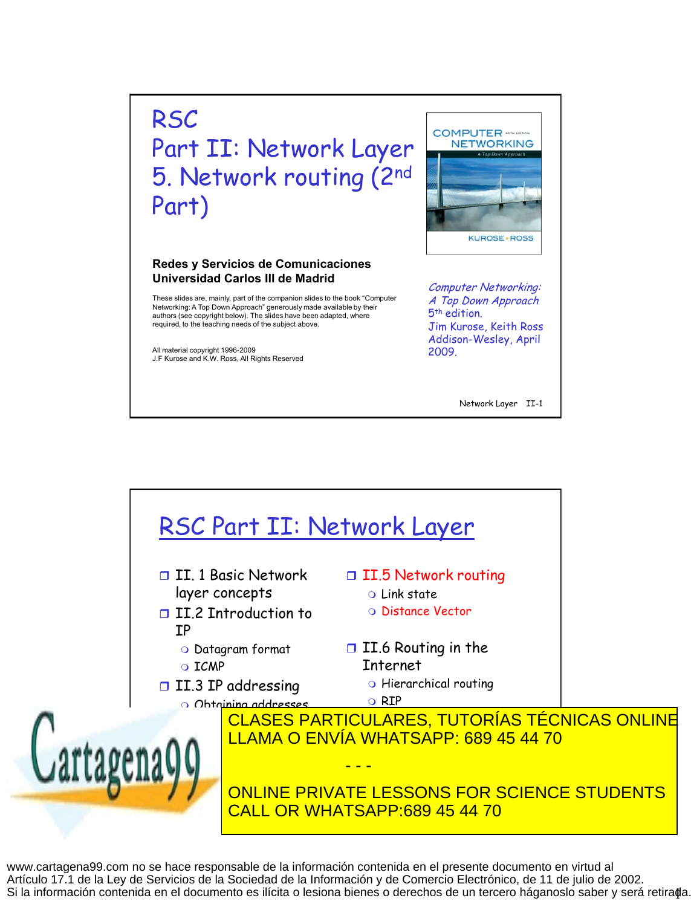## **RSC** Part II: Network Layer 5. Network routing (2nd Part)

## **Redes y Servicios de Comunicaciones Universidad Carlos III de Madrid**

These slides are, mainly, part of the companion slides to the book "Computer Networking: A Top Down Approach" generously made available by their authors (see copyright below). The slides have been adapted, where required, to the teaching needs of the subject above.

All material copyright 1996-2009 J.F Kurose and K.W. Ross, All Rights Reserved



Computer Networking: A Top Down Approach 5 th edition. Jim Kurose, Keith Ross Addison-Wesley, April 2009.

Network Layer II-1



Si la información contenida en el documento es ilícita o lesiona bienes o derechos de un tercero háganoslo saber y será retira**¢**a. www.cartagena99.com no se hace responsable de la información contenida en el presente documento en virtud al Artículo 17.1 de la Ley de Servicios de la Sociedad de la Información y de Comercio Electrónico, de 11 de julio de 2002.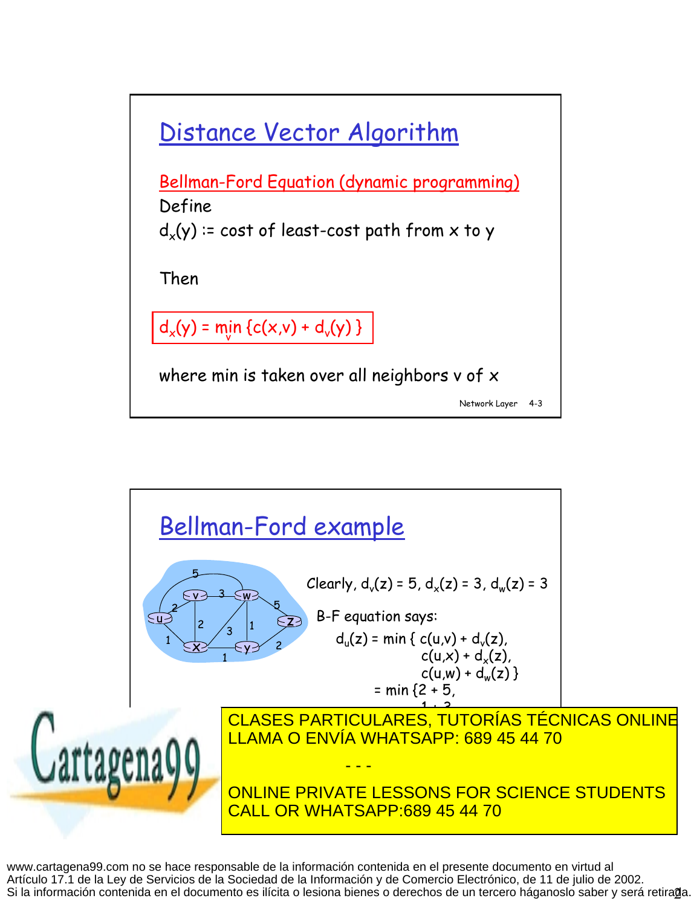



Si la información contenida en el documento es ilícita o lesiona bienes o derechos de un tercero háganoslo saber y será retira@a. www.cartagena99.com no se hace responsable de la información contenida en el presente documento en virtud al Artículo 17.1 de la Ley de Servicios de la Sociedad de la Información y de Comercio Electrónico, de 11 de julio de 2002.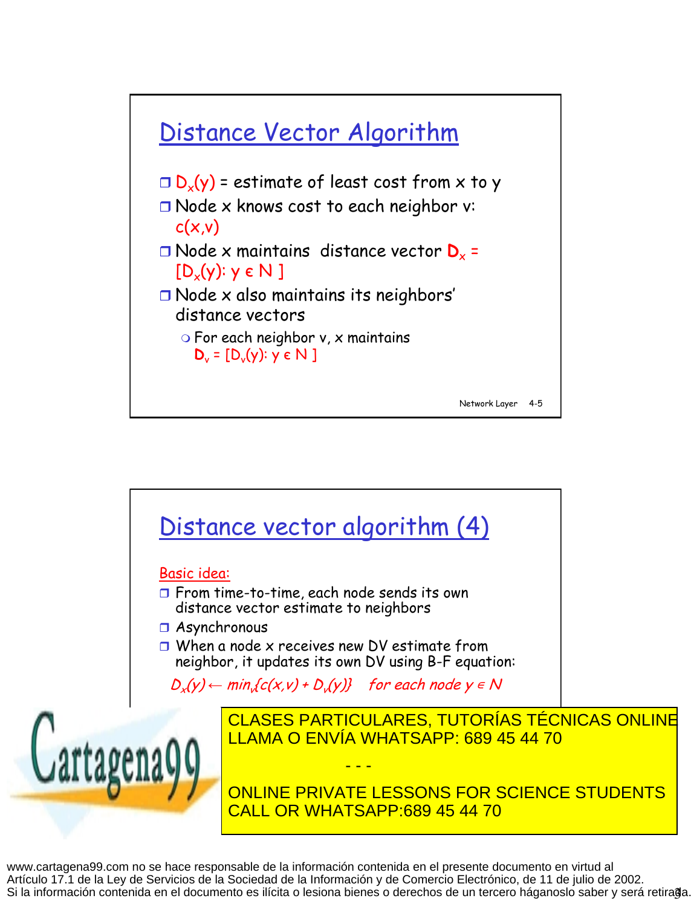



Si la información contenida en el documento es ilícita o lesiona bienes o derechos de un tercero háganoslo saber y será retira@a. www.cartagena99.com no se hace responsable de la información contenida en el presente documento en virtud al Artículo 17.1 de la Ley de Servicios de la Sociedad de la Información y de Comercio Electrónico, de 11 de julio de 2002.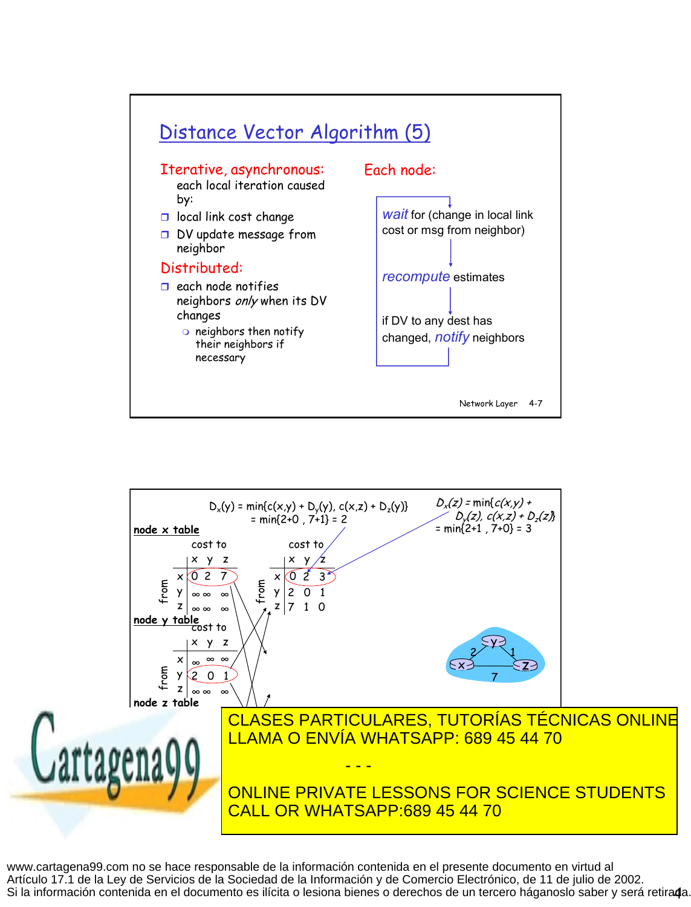



Si la información contenida en el documento es ilícita o lesiona bienes o derechos de un tercero háganoslo saber y será retira**d**a. www.cartagena99.com no se hace responsable de la información contenida en el presente documento en virtud al Artículo 17.1 de la Ley de Servicios de la Sociedad de la Información y de Comercio Electrónico, de 11 de julio de 2002.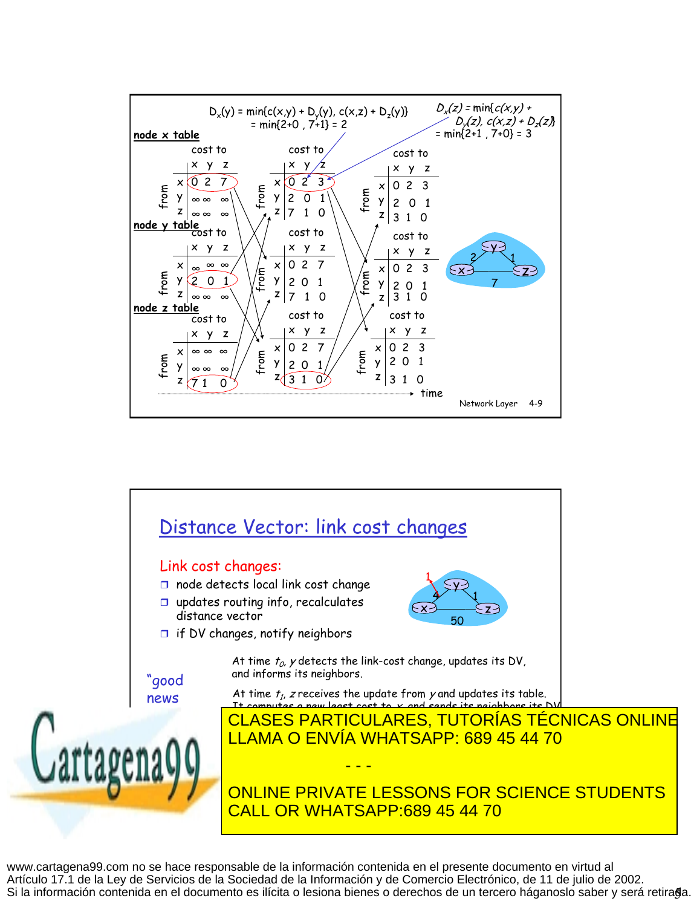



Si la información contenida en el documento es ilícita o lesiona bienes o derechos de un tercero háganoslo saber y será retira§a. www.cartagena99.com no se hace responsable de la información contenida en el presente documento en virtud al Artículo 17.1 de la Ley de Servicios de la Sociedad de la Información y de Comercio Electrónico, de 11 de julio de 2002.